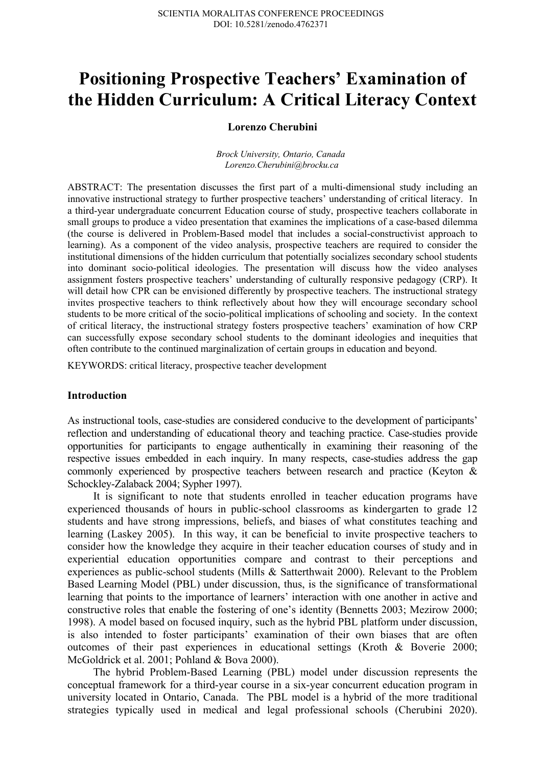# **Positioning Prospective Teachers' Examination of the Hidden Curriculum: A Critical Literacy Context**

# **Lorenzo Cherubini**

*Brock University, Ontario, Canada Lorenzo.Cherubini@brocku.ca*

ABSTRACT: The presentation discusses the first part of a multi-dimensional study including an innovative instructional strategy to further prospective teachers' understanding of critical literacy. In a third-year undergraduate concurrent Education course of study, prospective teachers collaborate in small groups to produce a video presentation that examines the implications of a case-based dilemma (the course is delivered in Problem-Based model that includes a social-constructivist approach to learning). As a component of the video analysis, prospective teachers are required to consider the institutional dimensions of the hidden curriculum that potentially socializes secondary school students into dominant socio-political ideologies. The presentation will discuss how the video analyses assignment fosters prospective teachers' understanding of culturally responsive pedagogy (CRP). It will detail how CPR can be envisioned differently by prospective teachers. The instructional strategy invites prospective teachers to think reflectively about how they will encourage secondary school students to be more critical of the socio-political implications of schooling and society. In the context of critical literacy, the instructional strategy fosters prospective teachers' examination of how CRP can successfully expose secondary school students to the dominant ideologies and inequities that often contribute to the continued marginalization of certain groups in education and beyond.

KEYWORDS: critical literacy, prospective teacher development

### **Introduction**

As instructional tools, case-studies are considered conducive to the development of participants' reflection and understanding of educational theory and teaching practice. Case-studies provide opportunities for participants to engage authentically in examining their reasoning of the respective issues embedded in each inquiry. In many respects, case-studies address the gap commonly experienced by prospective teachers between research and practice (Keyton & Schockley-Zalaback 2004; Sypher 1997).

It is significant to note that students enrolled in teacher education programs have experienced thousands of hours in public-school classrooms as kindergarten to grade 12 students and have strong impressions, beliefs, and biases of what constitutes teaching and learning (Laskey 2005). In this way, it can be beneficial to invite prospective teachers to consider how the knowledge they acquire in their teacher education courses of study and in experiential education opportunities compare and contrast to their perceptions and experiences as public-school students (Mills & Satterthwait 2000). Relevant to the Problem Based Learning Model (PBL) under discussion, thus, is the significance of transformational learning that points to the importance of learners' interaction with one another in active and constructive roles that enable the fostering of one's identity (Bennetts 2003; Mezirow 2000; 1998). A model based on focused inquiry, such as the hybrid PBL platform under discussion, is also intended to foster participants' examination of their own biases that are often outcomes of their past experiences in educational settings (Kroth & Boverie 2000; McGoldrick et al. 2001; Pohland & Bova 2000).

The hybrid Problem-Based Learning (PBL) model under discussion represents the conceptual framework for a third-year course in a six-year concurrent education program in university located in Ontario, Canada. The PBL model is a hybrid of the more traditional strategies typically used in medical and legal professional schools (Cherubini 2020).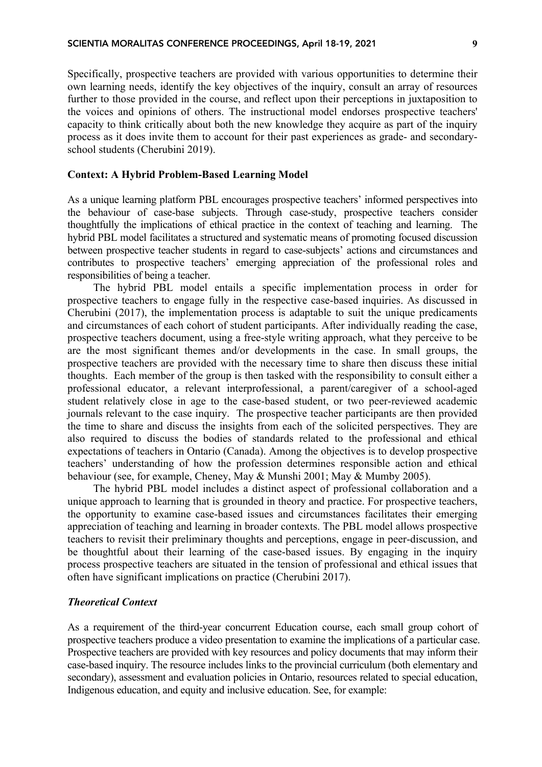Specifically, prospective teachers are provided with various opportunities to determine their own learning needs, identify the key objectives of the inquiry, consult an array of resources further to those provided in the course, and reflect upon their perceptions in juxtaposition to the voices and opinions of others. The instructional model endorses prospective teachers' capacity to think critically about both the new knowledge they acquire as part of the inquiry process as it does invite them to account for their past experiences as grade- and secondaryschool students (Cherubini 2019).

# **Context: A Hybrid Problem-Based Learning Model**

As a unique learning platform PBL encourages prospective teachers' informed perspectives into the behaviour of case-base subjects. Through case-study, prospective teachers consider thoughtfully the implications of ethical practice in the context of teaching and learning. The hybrid PBL model facilitates a structured and systematic means of promoting focused discussion between prospective teacher students in regard to case-subjects' actions and circumstances and contributes to prospective teachers' emerging appreciation of the professional roles and responsibilities of being a teacher.

The hybrid PBL model entails a specific implementation process in order for prospective teachers to engage fully in the respective case-based inquiries. As discussed in Cherubini (2017), the implementation process is adaptable to suit the unique predicaments and circumstances of each cohort of student participants. After individually reading the case, prospective teachers document, using a free-style writing approach, what they perceive to be are the most significant themes and/or developments in the case. In small groups, the prospective teachers are provided with the necessary time to share then discuss these initial thoughts. Each member of the group is then tasked with the responsibility to consult either a professional educator, a relevant interprofessional, a parent/caregiver of a school-aged student relatively close in age to the case-based student, or two peer-reviewed academic journals relevant to the case inquiry. The prospective teacher participants are then provided the time to share and discuss the insights from each of the solicited perspectives. They are also required to discuss the bodies of standards related to the professional and ethical expectations of teachers in Ontario (Canada). Among the objectives is to develop prospective teachers' understanding of how the profession determines responsible action and ethical behaviour (see, for example, Cheney, May & Munshi 2001; May & Mumby 2005).

The hybrid PBL model includes a distinct aspect of professional collaboration and a unique approach to learning that is grounded in theory and practice. For prospective teachers, the opportunity to examine case-based issues and circumstances facilitates their emerging appreciation of teaching and learning in broader contexts. The PBL model allows prospective teachers to revisit their preliminary thoughts and perceptions, engage in peer-discussion, and be thoughtful about their learning of the case-based issues. By engaging in the inquiry process prospective teachers are situated in the tension of professional and ethical issues that often have significant implications on practice (Cherubini 2017).

## *Theoretical Context*

As a requirement of the third-year concurrent Education course, each small group cohort of prospective teachers produce a video presentation to examine the implications of a particular case. Prospective teachers are provided with key resources and policy documents that may inform their case-based inquiry. The resource includes links to the provincial curriculum (both elementary and secondary), assessment and evaluation policies in Ontario, resources related to special education, Indigenous education, and equity and inclusive education. See, for example: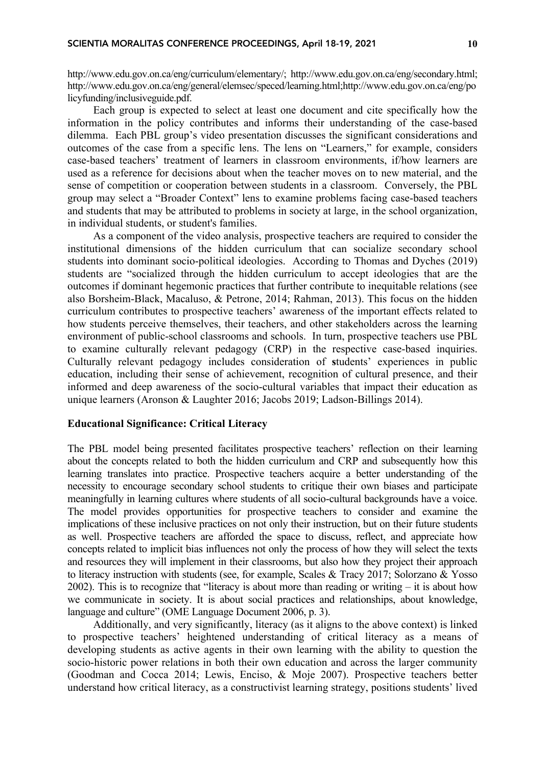http://www.edu.gov.on.ca/eng/curriculum/elementary/; http://www.edu.gov.on.ca/eng/secondary.html; http://www.edu.gov.on.ca/eng/general/elemsec/speced/learning.html;http://www.edu.gov.on.ca/eng/po licyfunding/inclusiveguide.pdf.

Each group is expected to select at least one document and cite specifically how the information in the policy contributes and informs their understanding of the case-based dilemma. Each PBL group's video presentation discusses the significant considerations and outcomes of the case from a specific lens. The lens on "Learners," for example, considers case-based teachers' treatment of learners in classroom environments, if/how learners are used as a reference for decisions about when the teacher moves on to new material, and the sense of competition or cooperation between students in a classroom. Conversely, the PBL group may select a "Broader Context" lens to examine problems facing case-based teachers and students that may be attributed to problems in society at large, in the school organization, in individual students, or student's families.

As a component of the video analysis, prospective teachers are required to consider the institutional dimensions of the hidden curriculum that can socialize secondary school students into dominant socio-political ideologies. According to Thomas and Dyches (2019) students are "socialized through the hidden curriculum to accept ideologies that are the outcomes if dominant hegemonic practices that further contribute to inequitable relations (see also Borsheim-Black, Macaluso, & Petrone, 2014; Rahman, 2013). This focus on the hidden curriculum contributes to prospective teachers' awareness of the important effects related to how students perceive themselves, their teachers, and other stakeholders across the learning environment of public-school classrooms and schools. In turn, prospective teachers use PBL to examine culturally relevant pedagogy (CRP) in the respective case-based inquiries. Culturally relevant pedagogy includes consideration of **s**tudents' experiences in public education, including their sense of achievement, recognition of cultural presence, and their informed and deep awareness of the socio-cultural variables that impact their education as unique learners (Aronson & Laughter 2016; Jacobs 2019; Ladson-Billings 2014).

#### **Educational Significance: Critical Literacy**

The PBL model being presented facilitates prospective teachers' reflection on their learning about the concepts related to both the hidden curriculum and CRP and subsequently how this learning translates into practice. Prospective teachers acquire a better understanding of the necessity to encourage secondary school students to critique their own biases and participate meaningfully in learning cultures where students of all socio-cultural backgrounds have a voice. The model provides opportunities for prospective teachers to consider and examine the implications of these inclusive practices on not only their instruction, but on their future students as well. Prospective teachers are afforded the space to discuss, reflect, and appreciate how concepts related to implicit bias influences not only the process of how they will select the texts and resources they will implement in their classrooms, but also how they project their approach to literacy instruction with students (see, for example, Scales & Tracy 2017; Solorzano & Yosso 2002). This is to recognize that "literacy is about more than reading or writing – it is about how we communicate in society. It is about social practices and relationships, about knowledge, language and culture" (OME Language Document 2006, p. 3).

Additionally, and very significantly, literacy (as it aligns to the above context) is linked to prospective teachers' heightened understanding of critical literacy as a means of developing students as active agents in their own learning with the ability to question the socio-historic power relations in both their own education and across the larger community (Goodman and Cocca 2014; Lewis, Enciso, & Moje 2007). Prospective teachers better understand how critical literacy, as a constructivist learning strategy, positions students' lived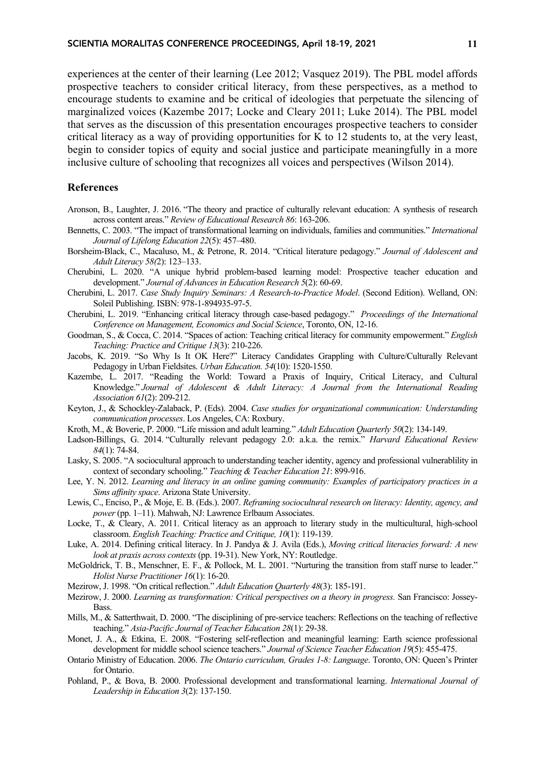experiences at the center of their learning (Lee 2012; Vasquez 2019). The PBL model affords prospective teachers to consider critical literacy, from these perspectives, as a method to encourage students to examine and be critical of ideologies that perpetuate the silencing of marginalized voices (Kazembe 2017; Locke and Cleary 2011; Luke 2014). The PBL model that serves as the discussion of this presentation encourages prospective teachers to consider critical literacy as a way of providing opportunities for K to 12 students to, at the very least, begin to consider topics of equity and social justice and participate meaningfully in a more inclusive culture of schooling that recognizes all voices and perspectives (Wilson 2014).

## **References**

- Aronson, B., Laughter, J. 2016. "The theory and practice of culturally relevant education: A synthesis of research across content areas." *Review of Educational Research 86*: 163-206.
- Bennetts, C. 2003. "The impact of transformational learning on individuals, families and communities." *International Journal of Lifelong Education 22*(5): 457–480.
- Borsheim-Black, C., Macaluso, M., & Petrone, R. 2014. "Critical literature pedagogy." *Journal of Adolescent and Adult Literacy 58(*2): 123–133.
- Cherubini, L. 2020. "A unique hybrid problem-based learning model: Prospective teacher education and development." *Journal of Advances in Education Research 5*(2): 60-69.
- Cherubini, L. 2017. *Case Study Inquiry Seminars: A Research-to-Practice Model*. (Second Edition). Welland, ON: Soleil Publishing. ISBN: 978-1-894935-97-5.
- Cherubini, L. 2019. "Enhancing critical literacy through case-based pedagogy." *Proceedings of the International Conference on Management, Economics and Social Science*, Toronto, ON, 12-16.
- Goodman, S., & Cocca, C. 2014. "Spaces of action: Teaching critical literacy for community empowerment." *English Teaching: Practice and Critique 13*(3): 210-226.
- Jacobs, K. 2019. "So Why Is It OK Here?" Literacy Candidates Grappling with Culture/Culturally Relevant Pedagogy in Urban Fieldsites. *Urban Education. 54*(10): 1520-1550.
- Kazembe, L. 2017. "Reading the World: Toward a Praxis of Inquiry, Critical Literacy, and Cultural Knowledge." *Journal of Adolescent & Adult Literacy: A Journal from the International Reading Association 61*(2): 209-212.
- Keyton, J., & Schockley-Zalaback, P. (Eds). 2004. *Case studies for organizational communication: Understanding communication processes*. Los Angeles, CA: Roxbury.
- Kroth, M., & Boverie, P. 2000. "Life mission and adult learning." *Adult Education Quarterly 50*(2): 134-149.
- Ladson-Billings, G. 2014. "Culturally relevant pedagogy 2.0: a.k.a. the remix." *Harvard Educational Review 84*(1): 74-84.
- Lasky, S. 2005. "A sociocultural approach to understanding teacher identity, agency and professional vulnerablility in context of secondary schooling." *Teaching & Teacher Education 21*: 899-916.
- Lee, Y. N. 2012. *Learning and literacy in an online gaming community: Examples of participatory practices in a Sims affinity space*. Arizona State University.
- Lewis, C., Enciso, P., & Moje, E. B. (Eds.). 2007. *Reframing sociocultural research on literacy: Identity, agency, and power* (pp. 1–11). Mahwah, NJ: Lawrence Erlbaum Associates.
- Locke, T., & Cleary, A. 2011. Critical literacy as an approach to literary study in the multicultural, high-school classroom. *English Teaching: Practice and Critique, 10*(1): 119-139.
- Luke, A. 2014. Defining critical literacy. In J. Pandya & J. Avila (Eds.), *Moving critical literacies forward: A new look at praxis across contexts* (pp. 19-31). New York, NY: Routledge.
- McGoldrick, T. B., Menschner, E. F., & Pollock, M. L. 2001. "Nurturing the transition from staff nurse to leader." *Holist Nurse Practitioner 16*(1): 16-20.
- Mezirow, J. 1998. "On critical reflection." *Adult Education Quarterly 48*(3): 185-191.
- Mezirow, J. 2000. *Learning as transformation: Critical perspectives on a theory in progress.* San Francisco: Jossey-Bass.
- Mills, M., & Satterthwait, D. 2000. "The disciplining of pre-service teachers: Reflections on the teaching of reflective teaching." *Asia-Pacific Journal of Teacher Education 28*(1): 29-38.
- Monet, J. A., & Etkina, E. 2008. "Fostering self-reflection and meaningful learning: Earth science professional development for middle school science teachers." *Journal of Science Teacher Education 19*(5): 455-475.
- Ontario Ministry of Education. 2006. *The Ontario curriculum, Grades 1-8: Language*. Toronto, ON: Queen's Printer for Ontario.
- Pohland, P., & Bova, B. 2000. Professional development and transformational learning. *International Journal of Leadership in Education 3*(2): 137-150.